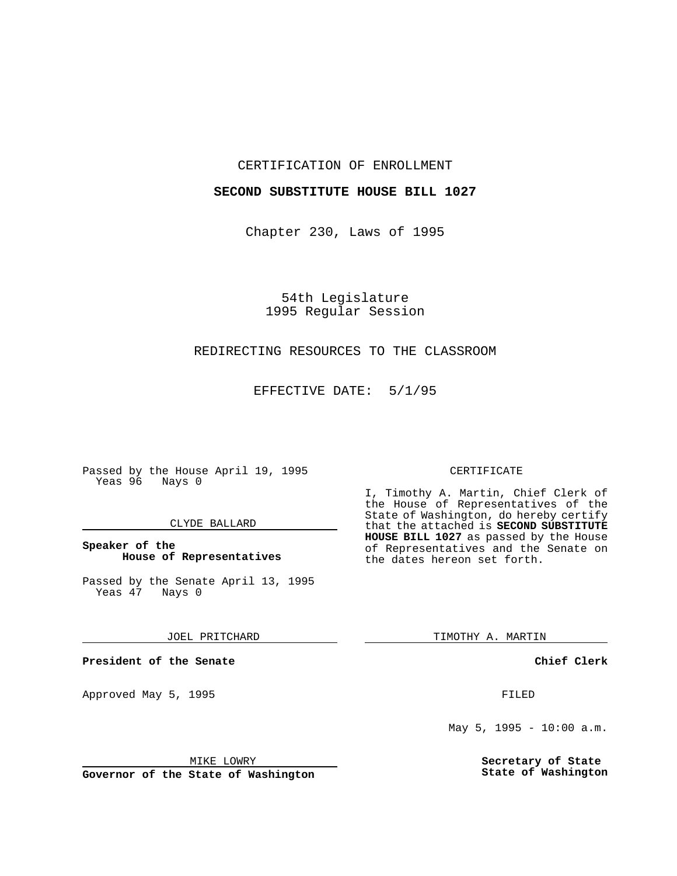## CERTIFICATION OF ENROLLMENT

# **SECOND SUBSTITUTE HOUSE BILL 1027**

Chapter 230, Laws of 1995

54th Legislature 1995 Regular Session

# REDIRECTING RESOURCES TO THE CLASSROOM

EFFECTIVE DATE: 5/1/95

Passed by the House April 19, 1995 Yeas 96 Nays 0

## CLYDE BALLARD

# **Speaker of the House of Representatives**

Passed by the Senate April 13, 1995<br>Yeas 47 Nays 0 Yeas 47

JOEL PRITCHARD

**President of the Senate**

Approved May 5, 1995 **FILED** 

MIKE LOWRY

**Governor of the State of Washington**

#### CERTIFICATE

I, Timothy A. Martin, Chief Clerk of the House of Representatives of the State of Washington, do hereby certify that the attached is **SECOND SUBSTITUTE HOUSE BILL 1027** as passed by the House of Representatives and the Senate on the dates hereon set forth.

TIMOTHY A. MARTIN

**Chief Clerk**

May 5, 1995 - 10:00 a.m.

**Secretary of State State of Washington**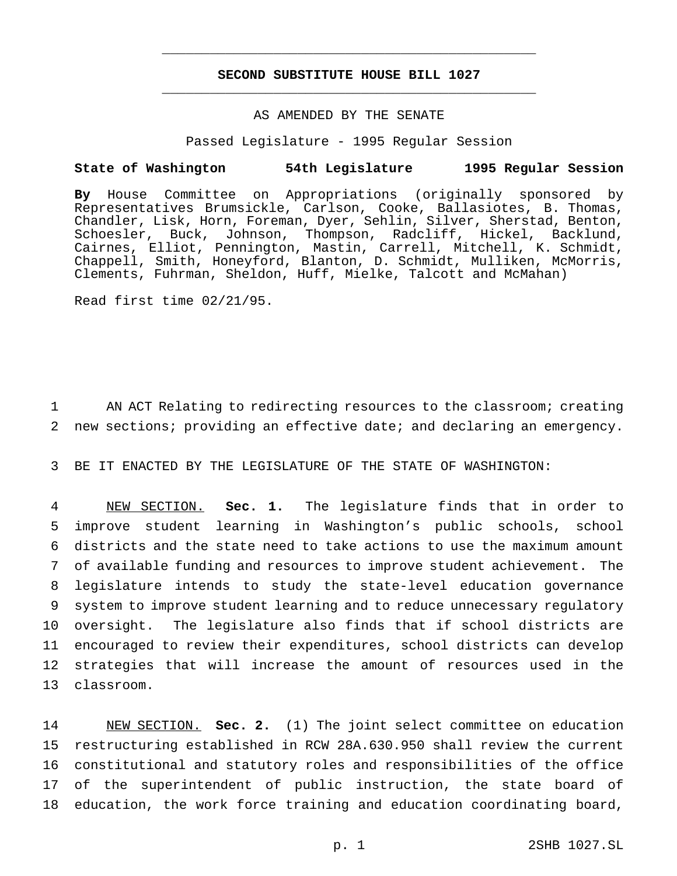# **SECOND SUBSTITUTE HOUSE BILL 1027** \_\_\_\_\_\_\_\_\_\_\_\_\_\_\_\_\_\_\_\_\_\_\_\_\_\_\_\_\_\_\_\_\_\_\_\_\_\_\_\_\_\_\_\_\_\_\_

\_\_\_\_\_\_\_\_\_\_\_\_\_\_\_\_\_\_\_\_\_\_\_\_\_\_\_\_\_\_\_\_\_\_\_\_\_\_\_\_\_\_\_\_\_\_\_

# AS AMENDED BY THE SENATE

#### Passed Legislature - 1995 Regular Session

### **State of Washington 54th Legislature 1995 Regular Session**

**By** House Committee on Appropriations (originally sponsored by Representatives Brumsickle, Carlson, Cooke, Ballasiotes, B. Thomas, Chandler, Lisk, Horn, Foreman, Dyer, Sehlin, Silver, Sherstad, Benton, Schoesler, Buck, Johnson, Thompson, Radcliff, Hickel, Backlund, Cairnes, Elliot, Pennington, Mastin, Carrell, Mitchell, K. Schmidt, Chappell, Smith, Honeyford, Blanton, D. Schmidt, Mulliken, McMorris, Clements, Fuhrman, Sheldon, Huff, Mielke, Talcott and McMahan)

Read first time 02/21/95.

1 AN ACT Relating to redirecting resources to the classroom; creating 2 new sections; providing an effective date; and declaring an emergency.

3 BE IT ENACTED BY THE LEGISLATURE OF THE STATE OF WASHINGTON:

 NEW SECTION. **Sec. 1.** The legislature finds that in order to improve student learning in Washington's public schools, school districts and the state need to take actions to use the maximum amount of available funding and resources to improve student achievement. The legislature intends to study the state-level education governance system to improve student learning and to reduce unnecessary regulatory oversight. The legislature also finds that if school districts are encouraged to review their expenditures, school districts can develop strategies that will increase the amount of resources used in the classroom.

 NEW SECTION. **Sec. 2.** (1) The joint select committee on education restructuring established in RCW 28A.630.950 shall review the current constitutional and statutory roles and responsibilities of the office of the superintendent of public instruction, the state board of education, the work force training and education coordinating board,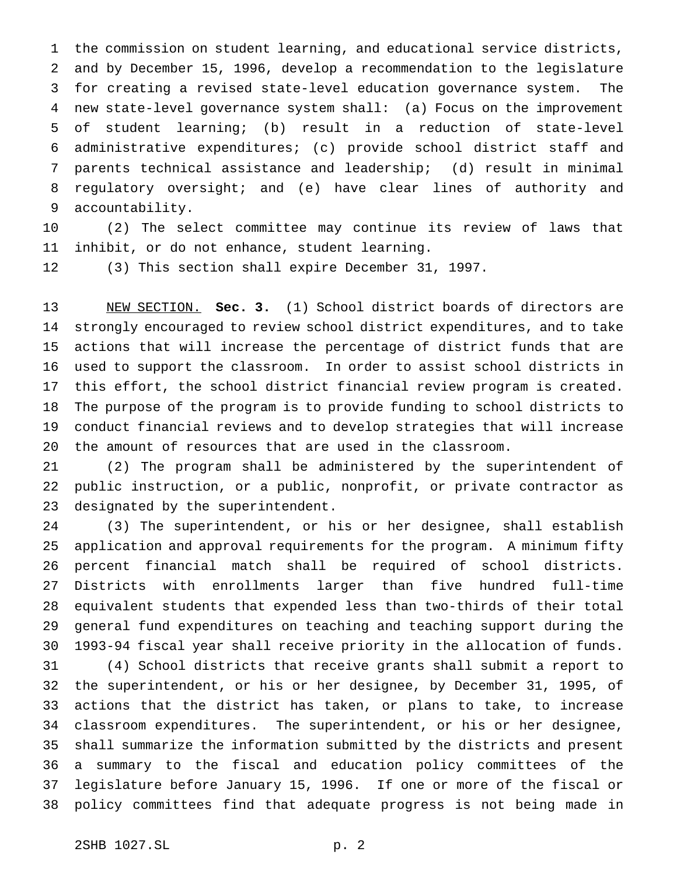the commission on student learning, and educational service districts, and by December 15, 1996, develop a recommendation to the legislature for creating a revised state-level education governance system. The new state-level governance system shall: (a) Focus on the improvement of student learning; (b) result in a reduction of state-level administrative expenditures; (c) provide school district staff and parents technical assistance and leadership; (d) result in minimal regulatory oversight; and (e) have clear lines of authority and accountability.

 (2) The select committee may continue its review of laws that inhibit, or do not enhance, student learning.

(3) This section shall expire December 31, 1997.

 NEW SECTION. **Sec. 3.** (1) School district boards of directors are strongly encouraged to review school district expenditures, and to take actions that will increase the percentage of district funds that are used to support the classroom. In order to assist school districts in this effort, the school district financial review program is created. The purpose of the program is to provide funding to school districts to conduct financial reviews and to develop strategies that will increase the amount of resources that are used in the classroom.

 (2) The program shall be administered by the superintendent of public instruction, or a public, nonprofit, or private contractor as designated by the superintendent.

 (3) The superintendent, or his or her designee, shall establish application and approval requirements for the program. A minimum fifty percent financial match shall be required of school districts. Districts with enrollments larger than five hundred full-time equivalent students that expended less than two-thirds of their total general fund expenditures on teaching and teaching support during the 1993-94 fiscal year shall receive priority in the allocation of funds.

 (4) School districts that receive grants shall submit a report to the superintendent, or his or her designee, by December 31, 1995, of actions that the district has taken, or plans to take, to increase classroom expenditures. The superintendent, or his or her designee, shall summarize the information submitted by the districts and present a summary to the fiscal and education policy committees of the legislature before January 15, 1996. If one or more of the fiscal or policy committees find that adequate progress is not being made in